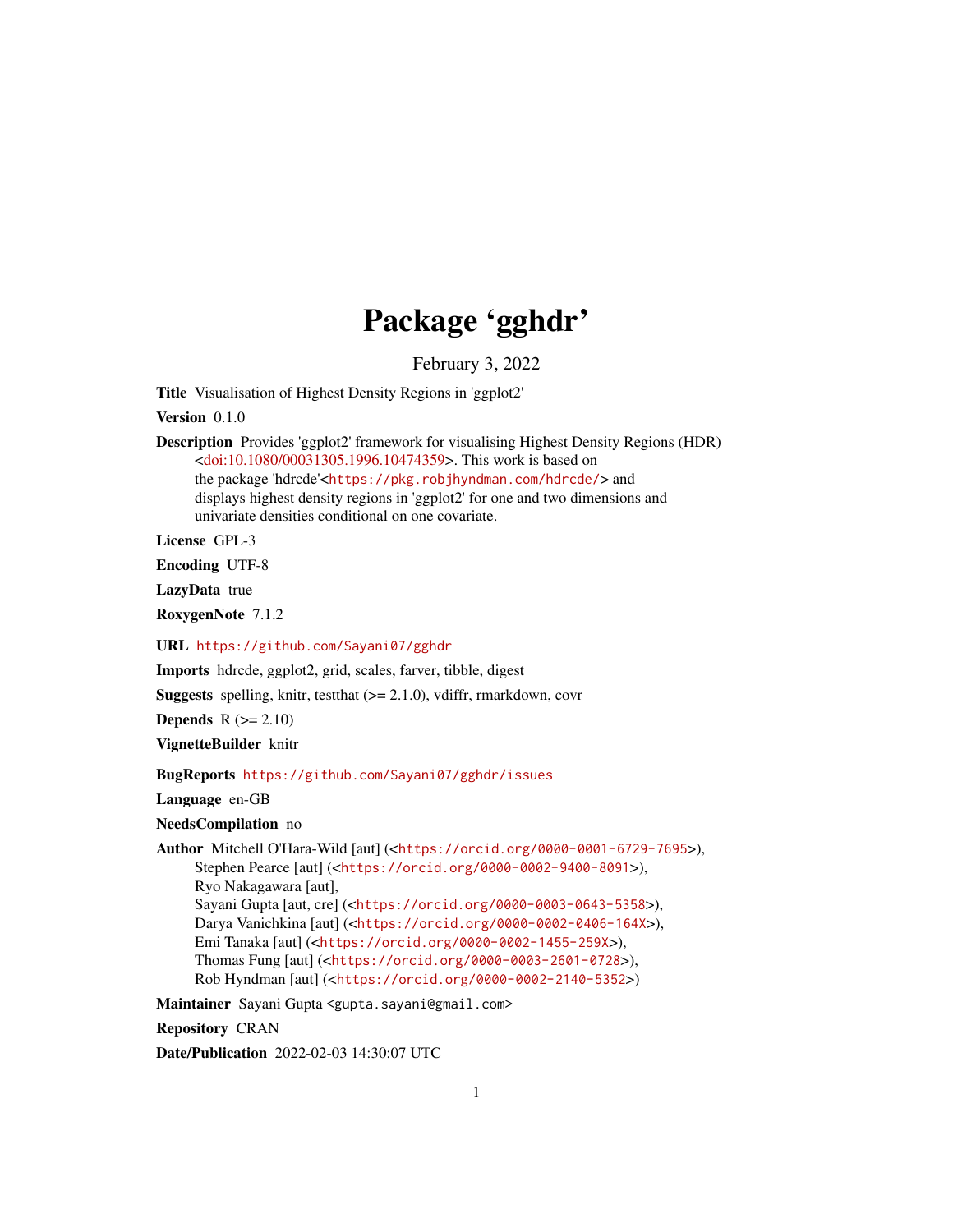## Package 'gghdr'

February 3, 2022

<span id="page-0-0"></span>Title Visualisation of Highest Density Regions in 'ggplot2'

Version 0.1.0

Description Provides 'ggplot2' framework for visualising Highest Density Regions (HDR) [<doi:10.1080/00031305.1996.10474359>](https://doi.org/10.1080/00031305.1996.10474359). This work is based on the package 'hdrcde'<<https://pkg.robjhyndman.com/hdrcde/>> and displays highest density regions in 'ggplot2' for one and two dimensions and univariate densities conditional on one covariate.

License GPL-3

Encoding UTF-8

LazyData true

RoxygenNote 7.1.2

URL <https://github.com/Sayani07/gghdr>

Imports hdrcde, ggplot2, grid, scales, farver, tibble, digest

**Suggests** spelling, knitr, test that  $(>= 2.1.0)$ , vdiffr, rmarkdown, covr

Depends  $R (= 2.10)$ 

VignetteBuilder knitr

BugReports <https://github.com/Sayani07/gghdr/issues>

Language en-GB

NeedsCompilation no

Author Mitchell O'Hara-Wild [aut] (<<https://orcid.org/0000-0001-6729-7695>>), Stephen Pearce [aut] (<<https://orcid.org/0000-0002-9400-8091>>), Ryo Nakagawara [aut], Sayani Gupta [aut, cre] (<<https://orcid.org/0000-0003-0643-5358>>), Darya Vanichkina [aut] (<<https://orcid.org/0000-0002-0406-164X>>), Emi Tanaka [aut] (<<https://orcid.org/0000-0002-1455-259X>>), Thomas Fung [aut] (<<https://orcid.org/0000-0003-2601-0728>>), Rob Hyndman [aut] (<<https://orcid.org/0000-0002-2140-5352>>)

Maintainer Sayani Gupta <gupta.sayani@gmail.com>

Repository CRAN

Date/Publication 2022-02-03 14:30:07 UTC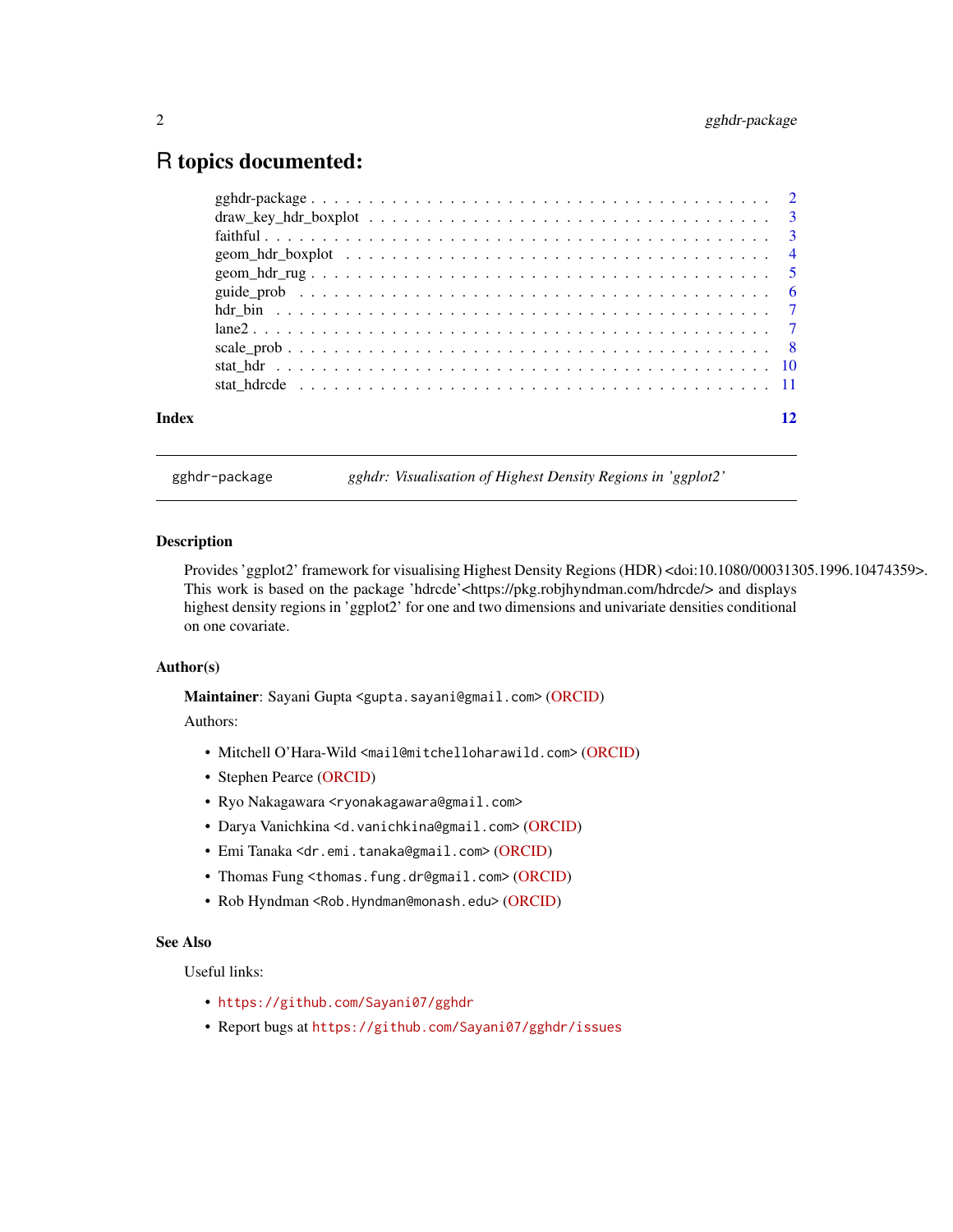### <span id="page-1-0"></span>R topics documented:

| Index |  |
|-------|--|
|       |  |

gghdr-package *gghdr: Visualisation of Highest Density Regions in 'ggplot2'*

#### **Description**

Provides 'ggplot2' framework for visualising Highest Density Regions (HDR) <doi:10.1080/00031305.1996.10474359>. This work is based on the package 'hdrcde'<https://pkg.robjhyndman.com/hdrcde/> and displays highest density regions in 'ggplot2' for one and two dimensions and univariate densities conditional on one covariate.

#### Author(s)

Maintainer: Sayani Gupta <gupta.sayani@gmail.com> [\(ORCID\)](https://orcid.org/0000-0003-0643-5358)

Authors:

- Mitchell O'Hara-Wild <mail@mitchelloharawild.com> [\(ORCID\)](https://orcid.org/0000-0001-6729-7695)
- Stephen Pearce [\(ORCID\)](https://orcid.org/0000-0002-9400-8091)
- Ryo Nakagawara <ryonakagawara@gmail.com>
- Darya Vanichkina <d.vanichkina@gmail.com> [\(ORCID\)](https://orcid.org/0000-0002-0406-164X)
- Emi Tanaka <dr.emi.tanaka@gmail.com> [\(ORCID\)](https://orcid.org/0000-0002-1455-259X)
- Thomas Fung <thomas.fung.dr@gmail.com> [\(ORCID\)](https://orcid.org/0000-0003-2601-0728)
- Rob Hyndman <Rob.Hyndman@monash.edu> [\(ORCID\)](https://orcid.org/0000-0002-2140-5352)

#### See Also

Useful links:

- <https://github.com/Sayani07/gghdr>
- Report bugs at <https://github.com/Sayani07/gghdr/issues>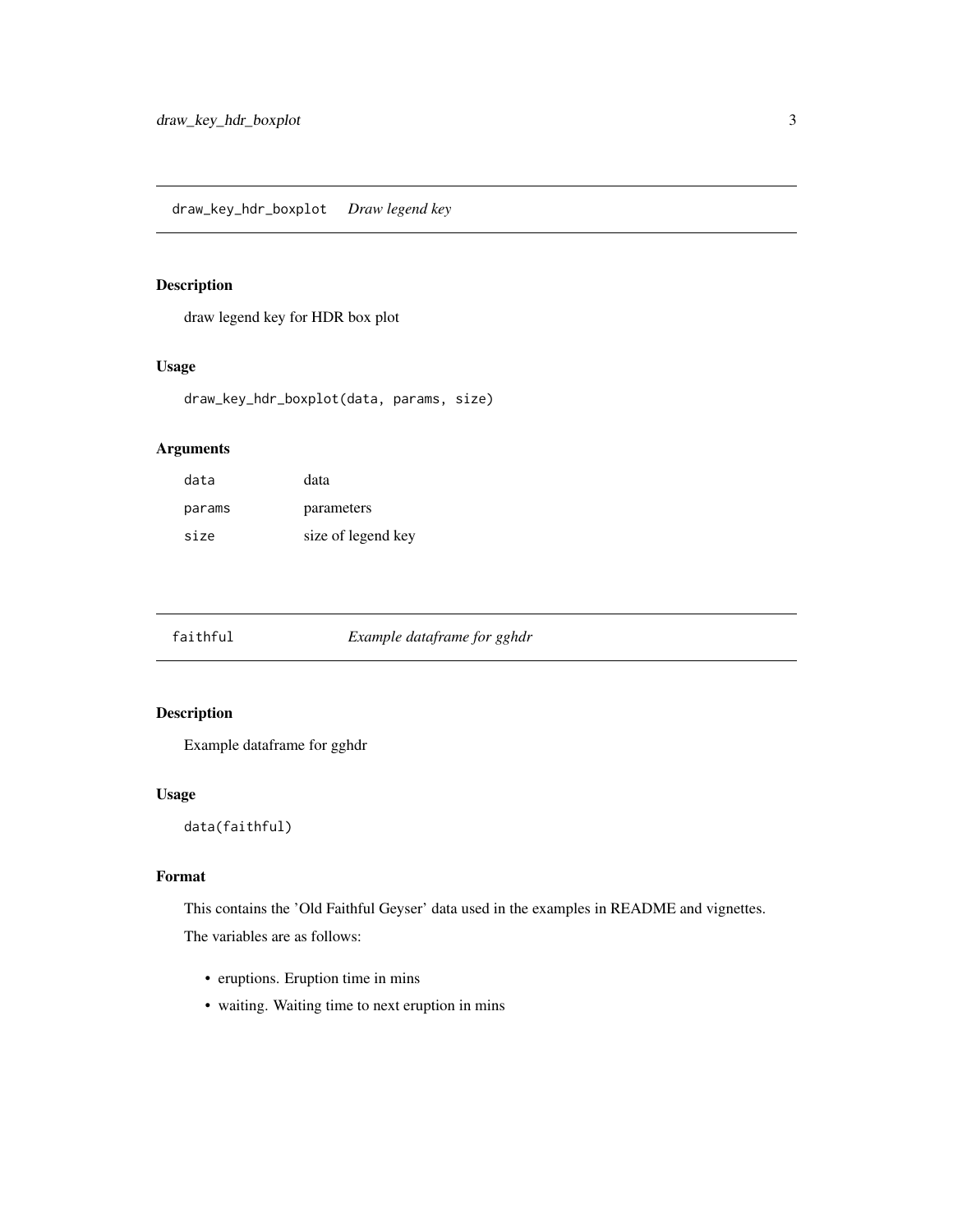<span id="page-2-0"></span>draw legend key for HDR box plot

#### Usage

```
draw_key_hdr_boxplot(data, params, size)
```
#### Arguments

| data   | data               |
|--------|--------------------|
| params | parameters         |
| size   | size of legend key |

faithful *Example dataframe for gghdr*

#### Description

Example dataframe for gghdr

#### Usage

data(faithful)

#### Format

This contains the 'Old Faithful Geyser' data used in the examples in README and vignettes.

The variables are as follows:

- eruptions. Eruption time in mins
- waiting. Waiting time to next eruption in mins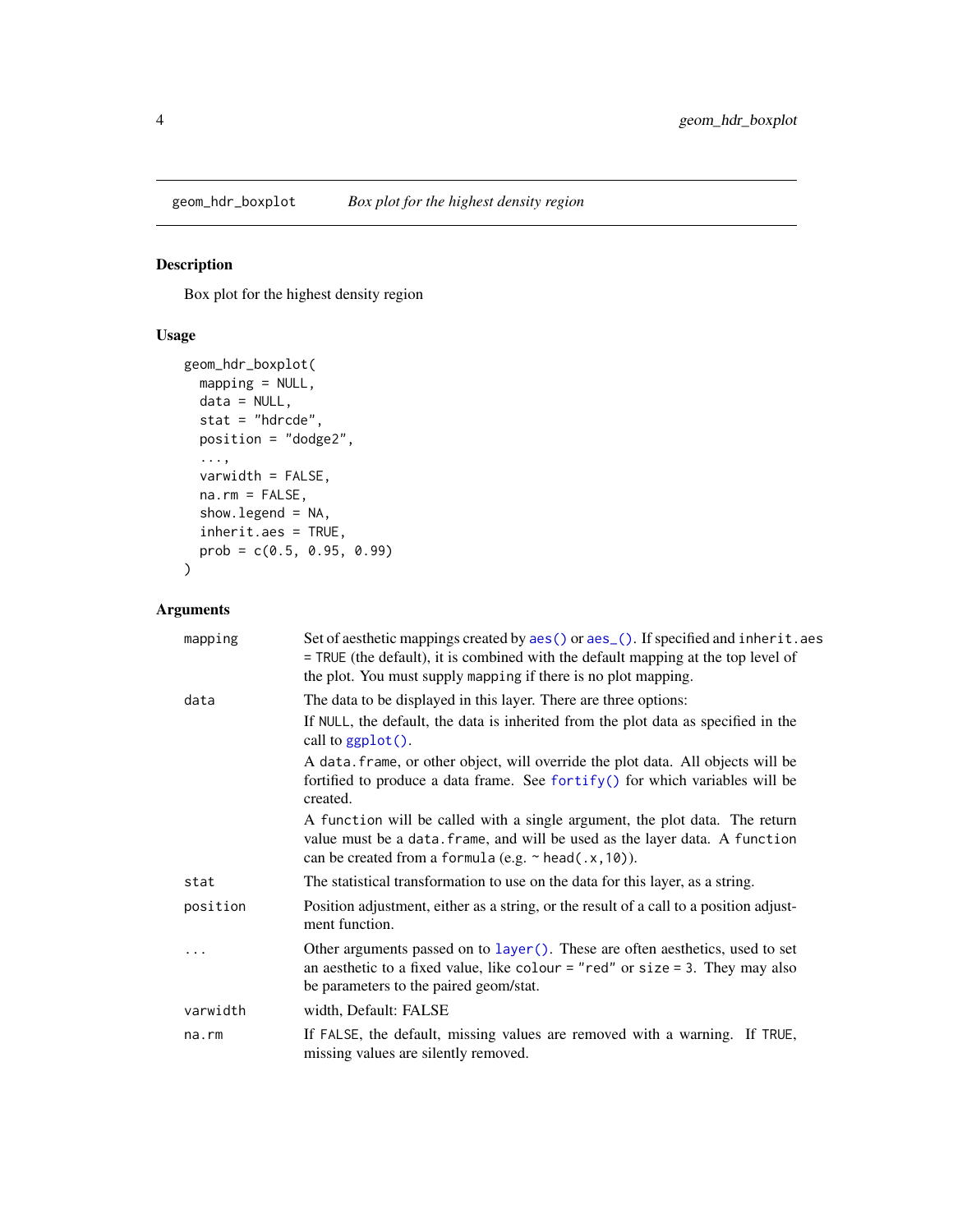<span id="page-3-0"></span>Box plot for the highest density region

#### Usage

```
geom_hdr_boxplot(
 mapping = NULL,
 data = NULL,
 stat = "hdrcde",
 position = "dodge2",
  ...,
  varwidth = FALSE,
 na.rm = FALSE,
  show.legend = NA,
 inherit.aes = TRUE,
 prob = c(0.5, 0.95, 0.99)
)
```
#### Arguments

| mapping  | Set of aesthetic mappings created by aes() or aes_(). If specified and inherit.aes<br>= TRUE (the default), it is combined with the default mapping at the top level of<br>the plot. You must supply mapping if there is no plot mapping. |
|----------|-------------------------------------------------------------------------------------------------------------------------------------------------------------------------------------------------------------------------------------------|
| data     | The data to be displayed in this layer. There are three options:                                                                                                                                                                          |
|          | If NULL, the default, the data is inherited from the plot data as specified in the<br>call to $ggplot()$ .                                                                                                                                |
|          | A data frame, or other object, will override the plot data. All objects will be<br>fortified to produce a data frame. See fortify() for which variables will be<br>created.                                                               |
|          | A function will be called with a single argument, the plot data. The return<br>value must be a data. frame, and will be used as the layer data. A function<br>can be created from a formula (e.g. $\sim$ head(.x, 10)).                   |
| stat     | The statistical transformation to use on the data for this layer, as a string.                                                                                                                                                            |
| position | Position adjustment, either as a string, or the result of a call to a position adjust-<br>ment function.                                                                                                                                  |
| .        | Other arguments passed on to layer (). These are often aesthetics, used to set<br>an aesthetic to a fixed value, like colour = "red" or size = 3. They may also<br>be parameters to the paired geom/stat.                                 |
| varwidth | width, Default: FALSE                                                                                                                                                                                                                     |
| na.rm    | If FALSE, the default, missing values are removed with a warning. If TRUE,<br>missing values are silently removed.                                                                                                                        |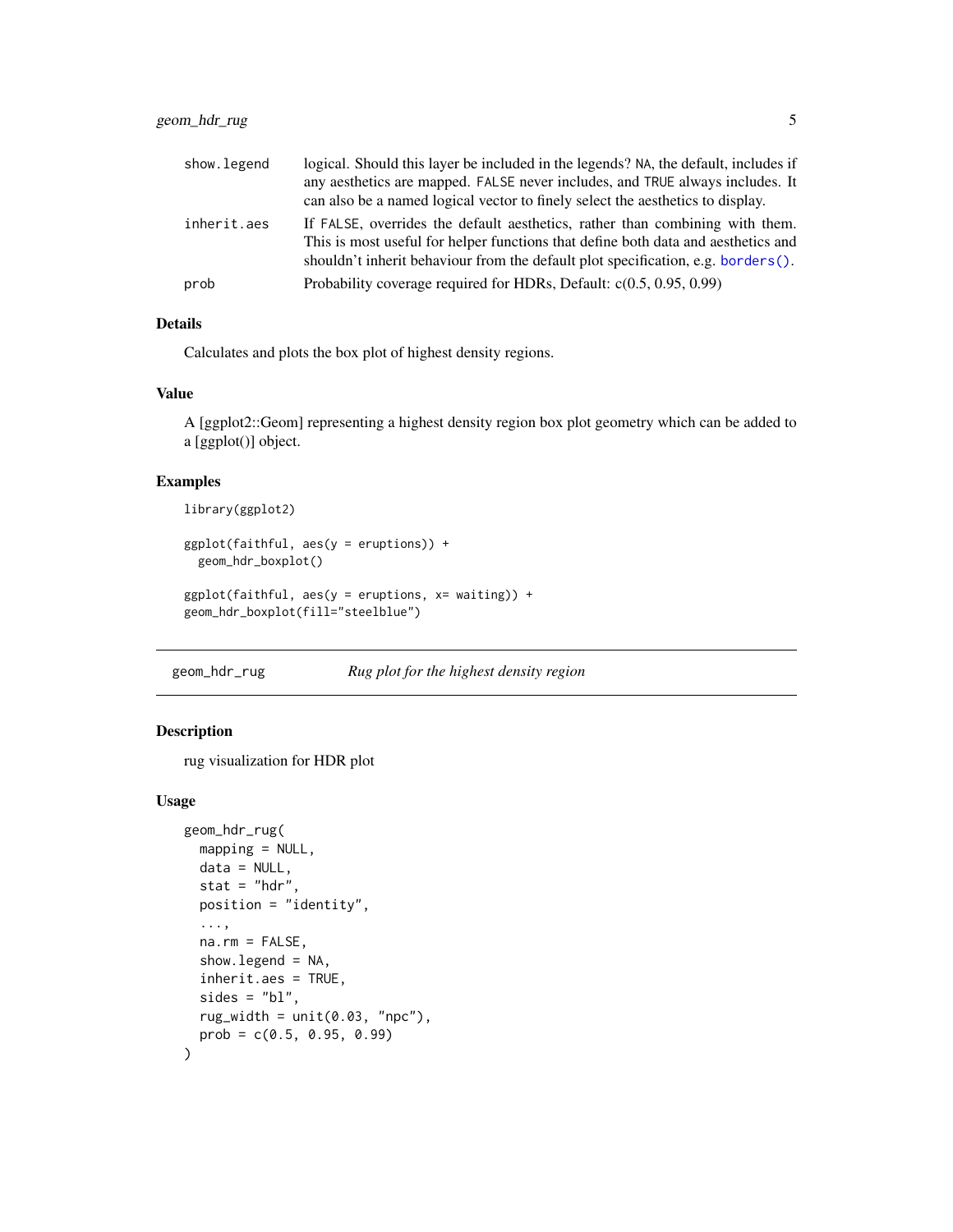<span id="page-4-0"></span>

| show.legend | logical. Should this layer be included in the legends? NA, the default, includes if<br>any aesthetics are mapped. FALSE never includes, and TRUE always includes. It<br>can also be a named logical vector to finely select the aesthetics to display. |
|-------------|--------------------------------------------------------------------------------------------------------------------------------------------------------------------------------------------------------------------------------------------------------|
| inherit.aes | If FALSE, overrides the default aesthetics, rather than combining with them.<br>This is most useful for helper functions that define both data and aesthetics and                                                                                      |
|             | shouldn't inherit behaviour from the default plot specification, e.g. borders().                                                                                                                                                                       |
| prob        | Probability coverage required for HDRs, Default: $c(0.5, 0.95, 0.99)$                                                                                                                                                                                  |

#### Details

Calculates and plots the box plot of highest density regions.

#### Value

A [ggplot2::Geom] representing a highest density region box plot geometry which can be added to a [ggplot()] object.

#### Examples

```
library(ggplot2)
```

```
ggplot(faithful, aes(y = eruptions)) +
  geom_hdr_boxplot()
ggplot(faithful, aes(y = eruptions, x= waiting)) +geom_hdr_boxplot(fill="steelblue")
```
geom\_hdr\_rug *Rug plot for the highest density region*

#### Description

rug visualization for HDR plot

#### Usage

```
geom_hdr_rug(
 mapping = NULL,
  data = NULL,stat = "hdr",position = "identity",
  ...,
  na.rm = FALSE,
  show.legend = NA,
  inherit.aes = TRUE,
  sides = "bl",rug\_width = unit(0.03, "npc"),prob = c(0.5, 0.95, 0.99)
\mathcal{E}
```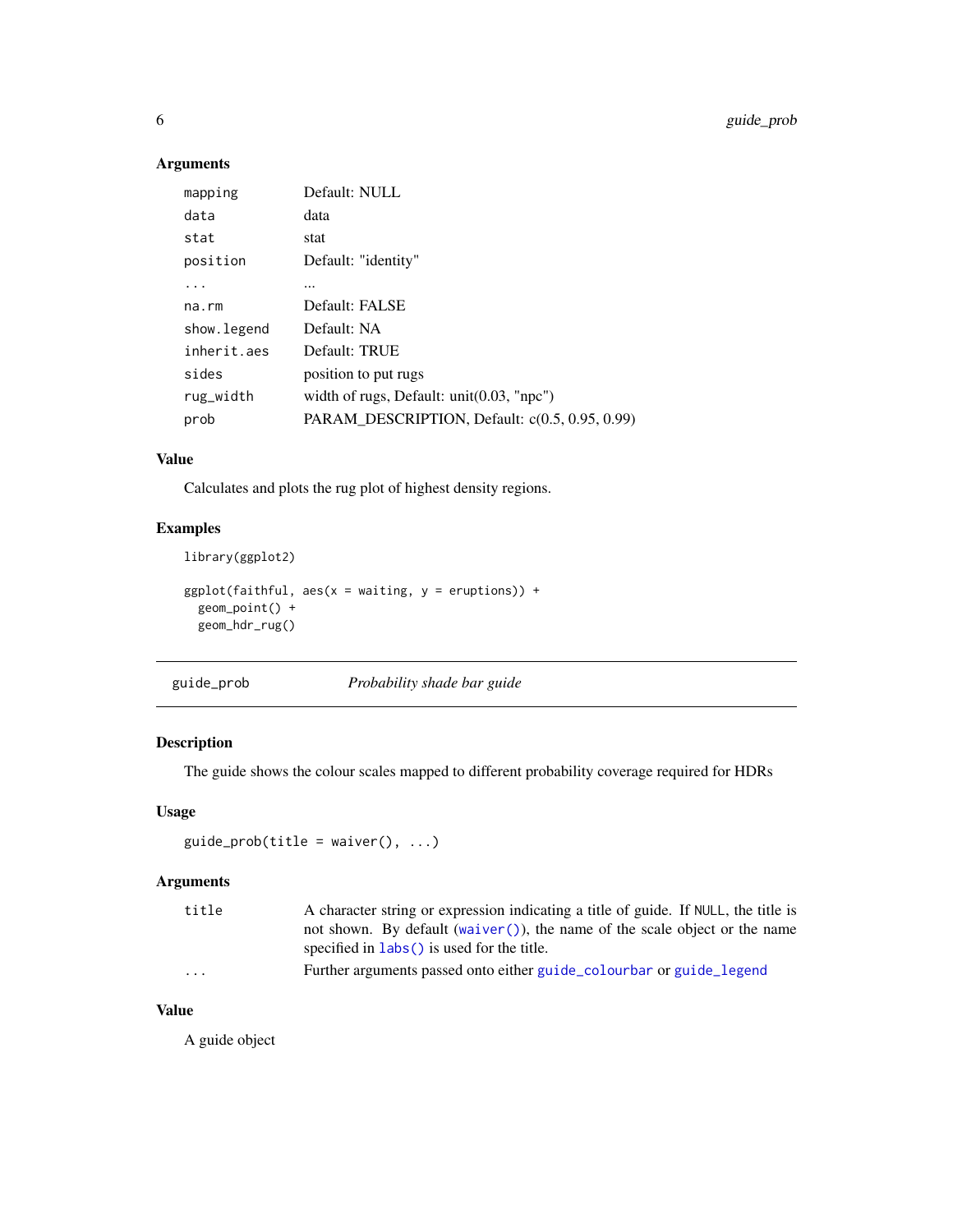#### <span id="page-5-0"></span>Arguments

| mapping      | Default: NULL                                  |
|--------------|------------------------------------------------|
| data         | data                                           |
| stat         | stat                                           |
| position     | Default: "identity"                            |
|              |                                                |
| $na$ . $rm$  | Default: FALSE                                 |
| show. legend | Default: NA                                    |
| inherit.aes  | Default: TRUE                                  |
| sides        | position to put rugs                           |
| rug_width    | width of rugs, Default: $unit(0.03, "npc")$    |
| prob         | PARAM_DESCRIPTION, Default: c(0.5, 0.95, 0.99) |

#### Value

Calculates and plots the rug plot of highest density regions.

#### Examples

```
library(ggplot2)
```

```
ggplot(faithful, aes(x = waiting, y = eruptions)) +geom_point() +
  geom_hdr_rug()
```

| guide_prob | Probability shade bar guide |  |  |
|------------|-----------------------------|--|--|
|            |                             |  |  |

#### Description

The guide shows the colour scales mapped to different probability coverage required for HDRs

#### Usage

```
guide_prob(title = waiver(), \dots)
```
#### Arguments

| title | A character string or expression indicating a title of guide. If NULL, the title is |
|-------|-------------------------------------------------------------------------------------|
|       | not shown. By default (waiver ()), the name of the scale object or the name         |
|       | specified in $\text{ labs}()$ is used for the title.                                |
| .     | Further arguments passed onto either guide colourbar or guide legend                |

#### Value

A guide object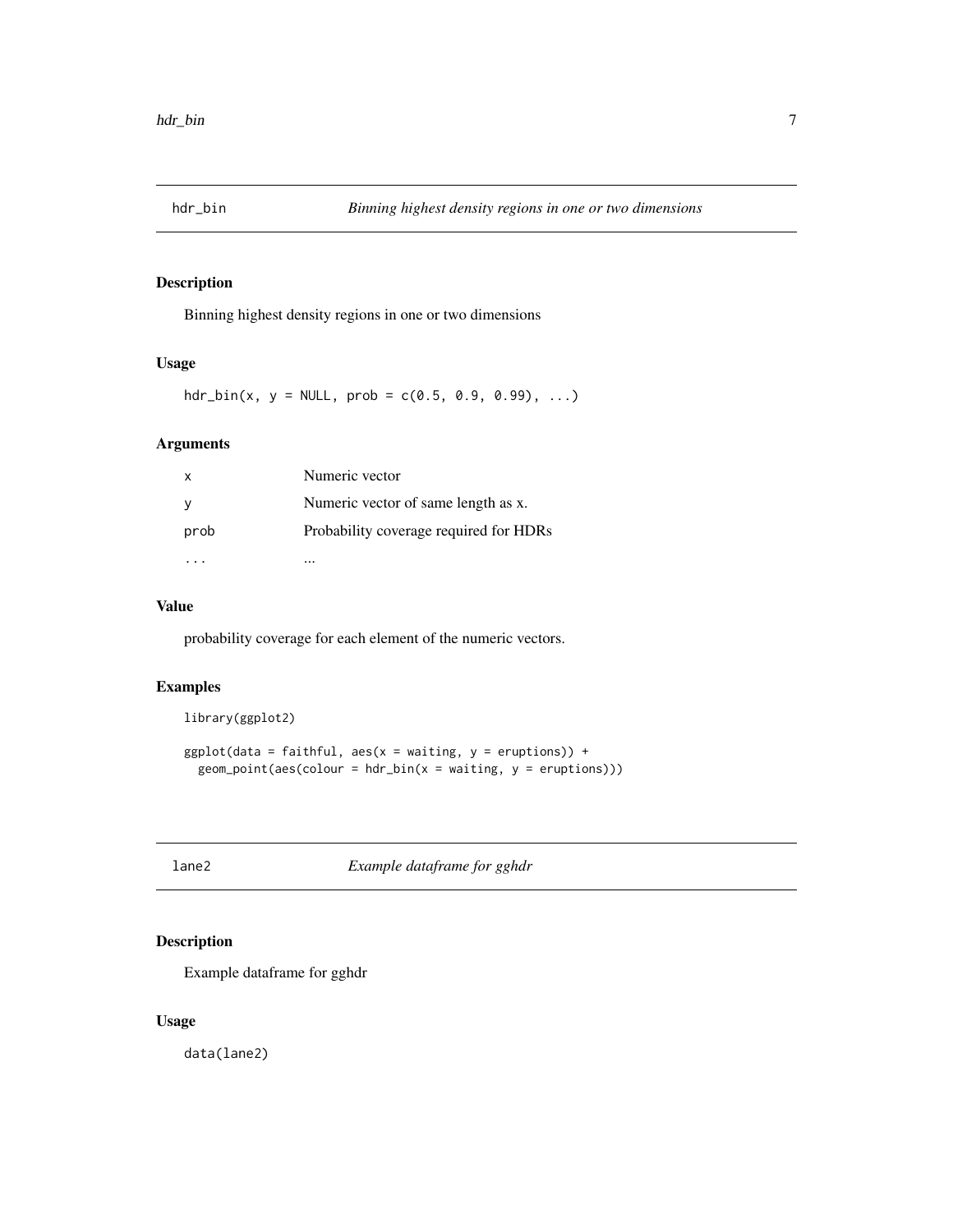<span id="page-6-0"></span>

Binning highest density regions in one or two dimensions

#### Usage

 $\text{hdr\_bin}(x, y = \text{NULL}, \text{prob} = c(0.5, 0.9, 0.99), ...)$ 

#### Arguments

| x    | Numeric vector                         |
|------|----------------------------------------|
|      | Numeric vector of same length as x.    |
| prob | Probability coverage required for HDRs |
|      |                                        |

#### Value

probability coverage for each element of the numeric vectors.

#### Examples

```
library(ggplot2)
```

```
ggplot(data = faithful, aes(x = waiting, y = eruptions)) +geom\_point(aes(colour = hdr\_bin(x = waiting, y = eruptions)))
```
lane2 *Example dataframe for gghdr*

#### Description

Example dataframe for gghdr

#### Usage

data(lane2)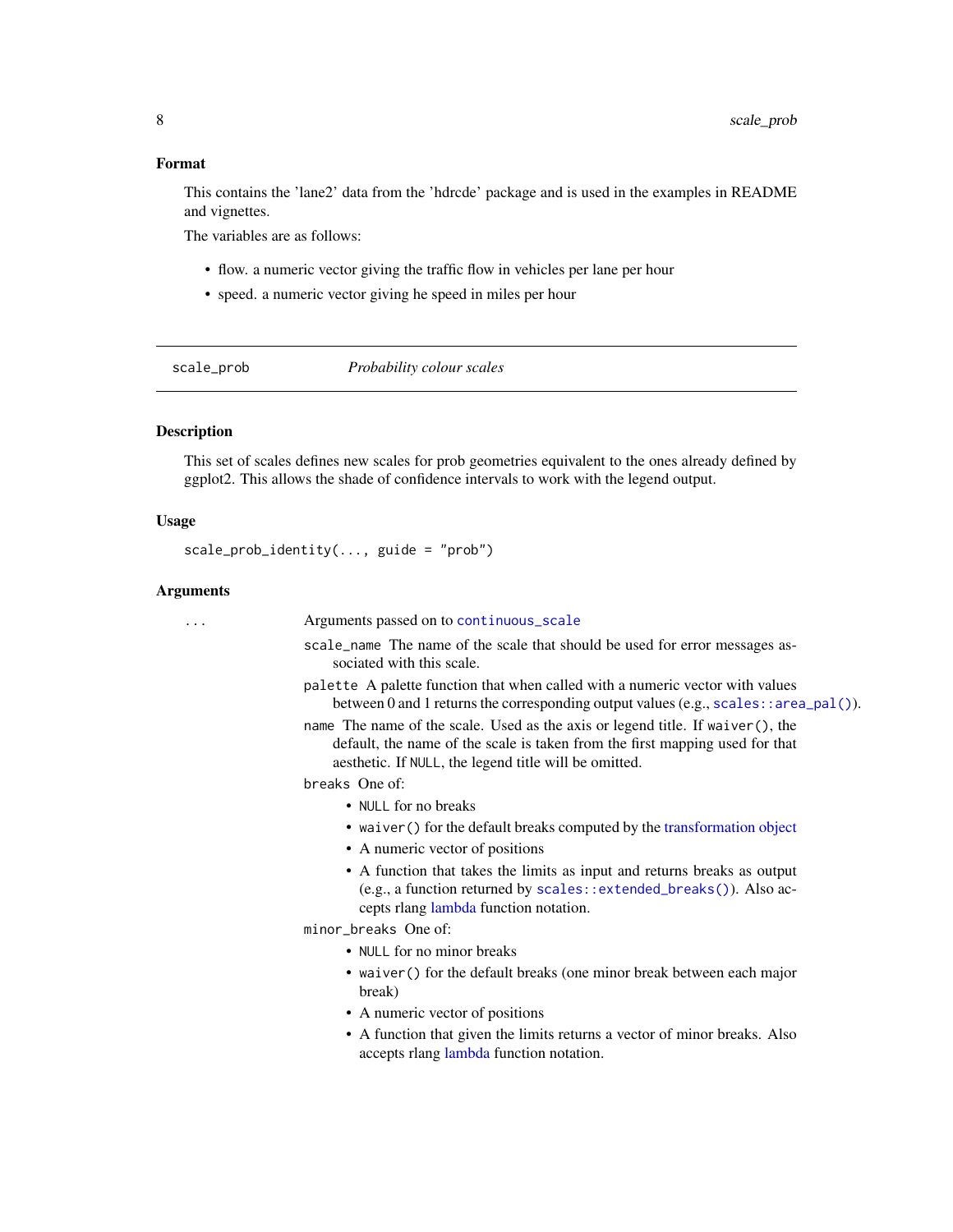#### <span id="page-7-0"></span>Format

This contains the 'lane2' data from the 'hdrcde' package and is used in the examples in README and vignettes.

The variables are as follows:

- flow. a numeric vector giving the traffic flow in vehicles per lane per hour
- speed. a numeric vector giving he speed in miles per hour

scale\_prob *Probability colour scales*

#### Description

This set of scales defines new scales for prob geometries equivalent to the ones already defined by ggplot2. This allows the shade of confidence intervals to work with the legend output.

#### Usage

scale\_prob\_identity(..., guide = "prob")

#### Arguments

| Arguments passed on to continuous_scale                                                                                                                                                                                 |
|-------------------------------------------------------------------------------------------------------------------------------------------------------------------------------------------------------------------------|
| scale_name The name of the scale that should be used for error messages as-<br>sociated with this scale.                                                                                                                |
| palette A palette function that when called with a numeric vector with values<br>between 0 and 1 returns the corresponding output values (e.g., scales: : area_pal()).                                                  |
| name The name of the scale. Used as the axis or legend title. If waiver(), the<br>default, the name of the scale is taken from the first mapping used for that<br>aesthetic. If NULL, the legend title will be omitted. |
| breaks One of:                                                                                                                                                                                                          |
| • NULL for no breaks                                                                                                                                                                                                    |
| • waiver () for the default breaks computed by the transformation object                                                                                                                                                |
| • A numeric vector of positions                                                                                                                                                                                         |
| • A function that takes the limits as input and returns breaks as output<br>(e.g., a function returned by scales: : extended_breaks()). Also ac-<br>cepts rlang lambda function notation.                               |
| minor_breaks One of:                                                                                                                                                                                                    |
| • NULL for no minor breaks                                                                                                                                                                                              |
| • waiver () for the default breaks (one minor break between each major<br>break)                                                                                                                                        |
| • A numeric vector of positions                                                                                                                                                                                         |
| • A function that given the limits returns a vector of minor breaks. Also<br>accepts rlang lambda function notation.                                                                                                    |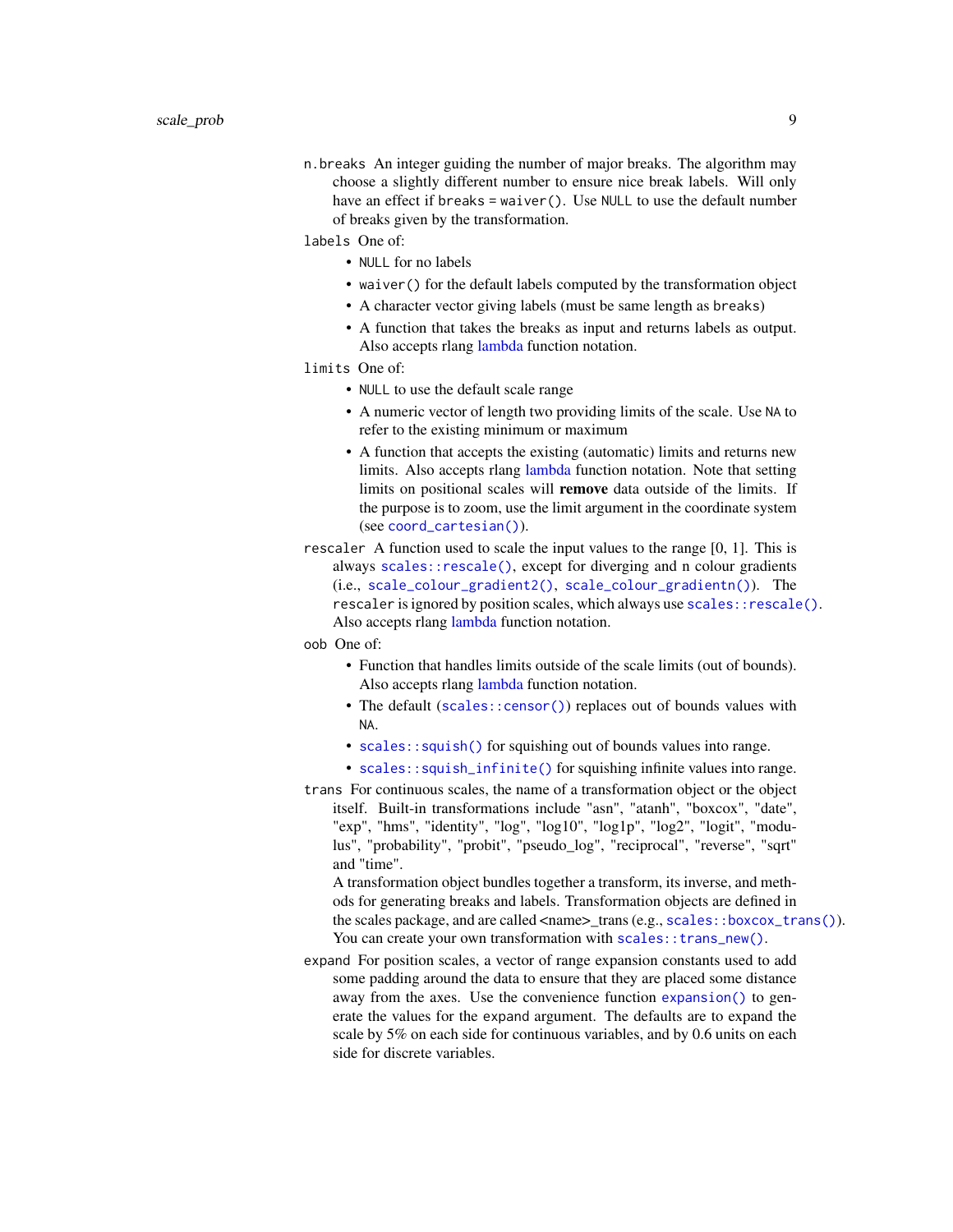<span id="page-8-0"></span>n.breaks An integer guiding the number of major breaks. The algorithm may choose a slightly different number to ensure nice break labels. Will only have an effect if breaks = waiver(). Use NULL to use the default number of breaks given by the transformation.

labels One of:

- NULL for no labels
- waiver() for the default labels computed by the transformation object
- A character vector giving labels (must be same length as breaks)
- A function that takes the breaks as input and returns labels as output. Also accepts rlang [lambda](#page-0-0) function notation.

limits One of:

- NULL to use the default scale range
- A numeric vector of length two providing limits of the scale. Use NA to refer to the existing minimum or maximum
- A function that accepts the existing (automatic) limits and returns new limits. Also accepts rlang [lambda](#page-0-0) function notation. Note that setting limits on positional scales will remove data outside of the limits. If the purpose is to zoom, use the limit argument in the coordinate system (see [coord\\_cartesian\(\)](#page-0-0)).
- rescaler A function used to scale the input values to the range [0, 1]. This is always [scales::rescale\(\)](#page-0-0), except for diverging and n colour gradients (i.e., [scale\\_colour\\_gradient2\(\)](#page-0-0), [scale\\_colour\\_gradientn\(\)](#page-0-0)). The rescaler is ignored by position scales, which always use scales:: rescale(). Also accepts rlang [lambda](#page-0-0) function notation.
- oob One of:
	- Function that handles limits outside of the scale limits (out of bounds). Also accepts rlang [lambda](#page-0-0) function notation.
	- The default ([scales::censor\(\)](#page-0-0)) replaces out of bounds values with NA.
	- [scales::squish\(\)](#page-0-0) for squishing out of bounds values into range.
	- [scales::squish\\_infinite\(\)](#page-0-0) for squishing infinite values into range.
- trans For continuous scales, the name of a transformation object or the object itself. Built-in transformations include "asn", "atanh", "boxcox", "date", "exp", "hms", "identity", "log", "log10", "log1p", "log2", "logit", "modulus", "probability", "probit", "pseudo\_log", "reciprocal", "reverse", "sqrt" and "time".

A transformation object bundles together a transform, its inverse, and methods for generating breaks and labels. Transformation objects are defined in the scales package, and are called <name>\_trans (e.g., [scales::boxcox\\_trans\(\)](#page-0-0)). You can create your own transformation with [scales::trans\\_new\(\)](#page-0-0).

expand For position scales, a vector of range expansion constants used to add some padding around the data to ensure that they are placed some distance away from the axes. Use the convenience function [expansion\(\)](#page-0-0) to generate the values for the expand argument. The defaults are to expand the scale by 5% on each side for continuous variables, and by 0.6 units on each side for discrete variables.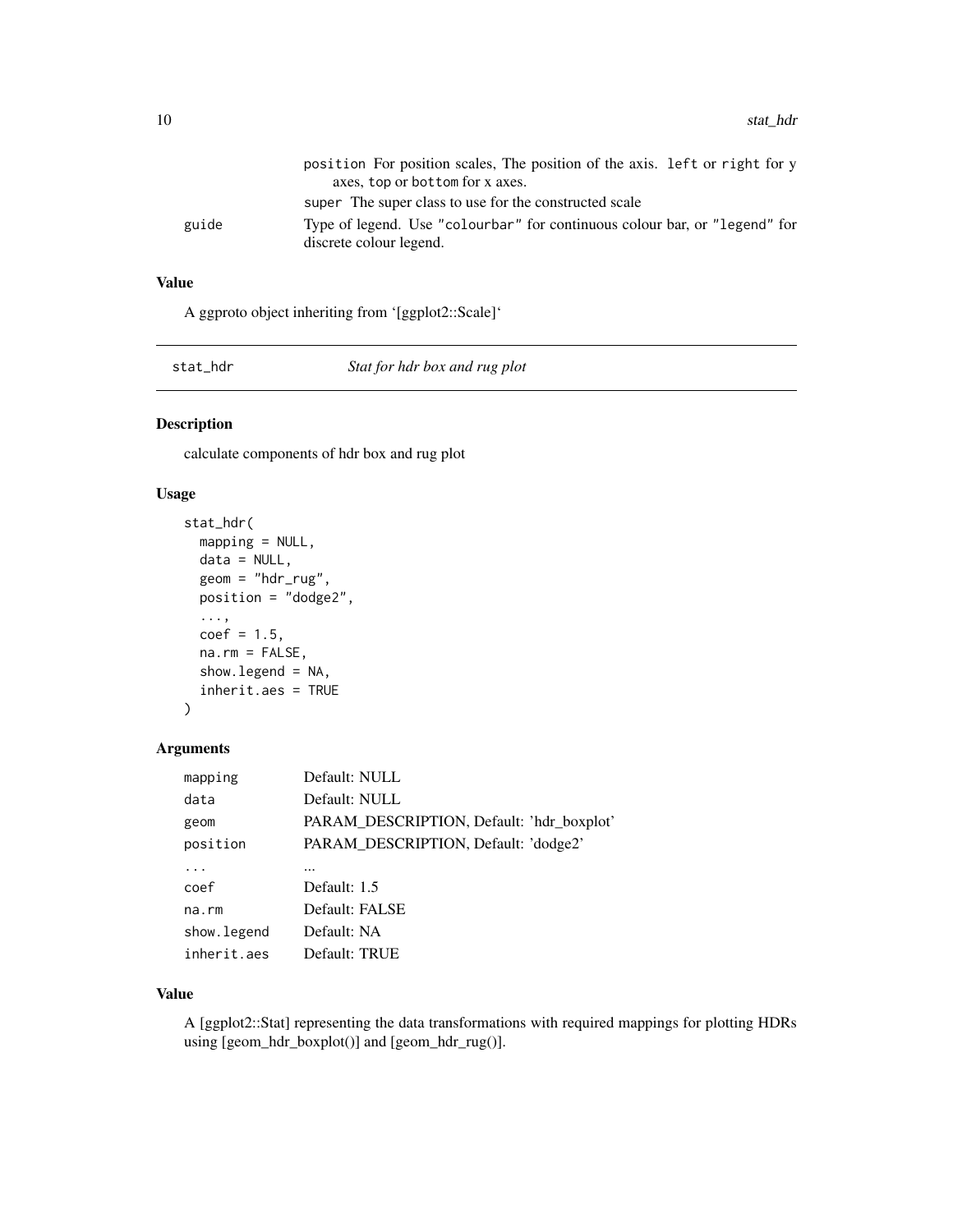<span id="page-9-0"></span>

|       | position For position scales. The position of the axis. Left or right for y |
|-------|-----------------------------------------------------------------------------|
|       | axes, top or bottom for x axes.                                             |
|       | super The super class to use for the constructed scale                      |
| guide | Type of legend. Use "colourbar" for continuous colour bar, or "legend" for  |
|       | discrete colour legend.                                                     |

#### Value

A ggproto object inheriting from '[ggplot2::Scale]'

stat\_hdr *Stat for hdr box and rug plot*

#### Description

calculate components of hdr box and rug plot

#### Usage

```
stat_hdr(
 mapping = NULL,
 data = NULL,geom = "hdr_rug",position = "dodge2",
  ...,
 coef = 1.5,
 na.rm = FALSE,
  show.legend = NA,
  inherit.aes = TRUE
)
```
#### Arguments

| mapping     | Default: NULL                             |
|-------------|-------------------------------------------|
| data        | Default: NULL                             |
| geom        | PARAM_DESCRIPTION, Default: 'hdr_boxplot' |
| position    | PARAM_DESCRIPTION, Default: 'dodge2'      |
|             |                                           |
| coef        | Default: 1.5                              |
| $na$ . $rm$ | Default: FALSE                            |
| show.legend | Default: NA                               |
| inherit.aes | Default: TRUE                             |

#### Value

A [ggplot2::Stat] representing the data transformations with required mappings for plotting HDRs using [geom\_hdr\_boxplot()] and [geom\_hdr\_rug()].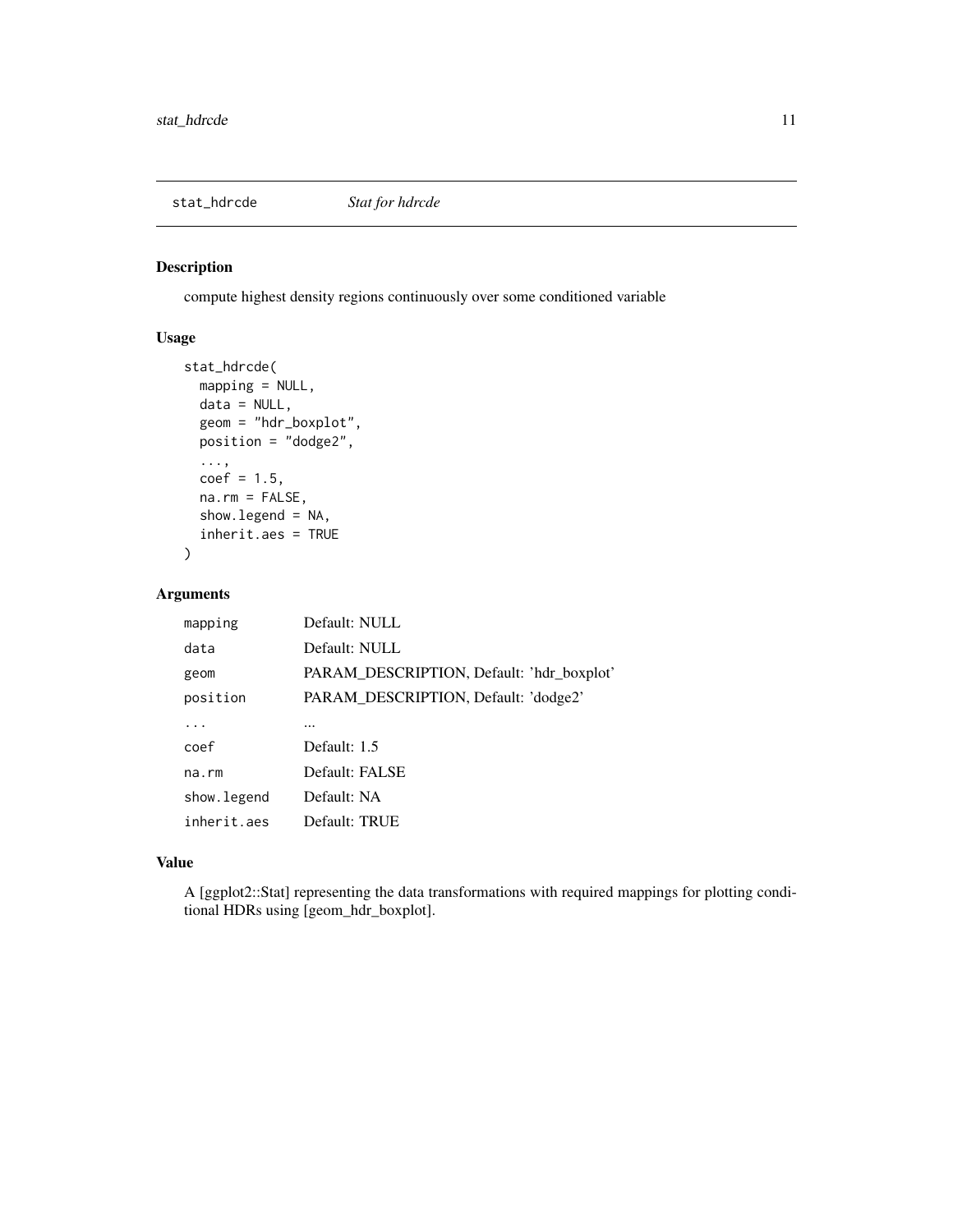<span id="page-10-0"></span>

compute highest density regions continuously over some conditioned variable

#### Usage

```
stat_hdrcde(
 mapping = NULL,
 data = NULL,geom = "hdr_boxplot",
 position = "dodge2",
  ...,
 coef = 1.5,
 na.rm = FALSE,
  show.legend = NA,
  inherit.aes = TRUE
)
```
#### Arguments

| mapping     | Default: NULL                             |
|-------------|-------------------------------------------|
| data        | Default: NULL                             |
| geom        | PARAM_DESCRIPTION, Default: 'hdr_boxplot' |
| position    | PARAM_DESCRIPTION, Default: 'dodge2'      |
|             |                                           |
| coef        | Default: 1.5                              |
| na.rm       | Default: FALSE                            |
| show.legend | Default: NA                               |
| inherit.aes | Default: TRUE                             |

#### Value

A [ggplot2::Stat] representing the data transformations with required mappings for plotting conditional HDRs using [geom\_hdr\_boxplot].